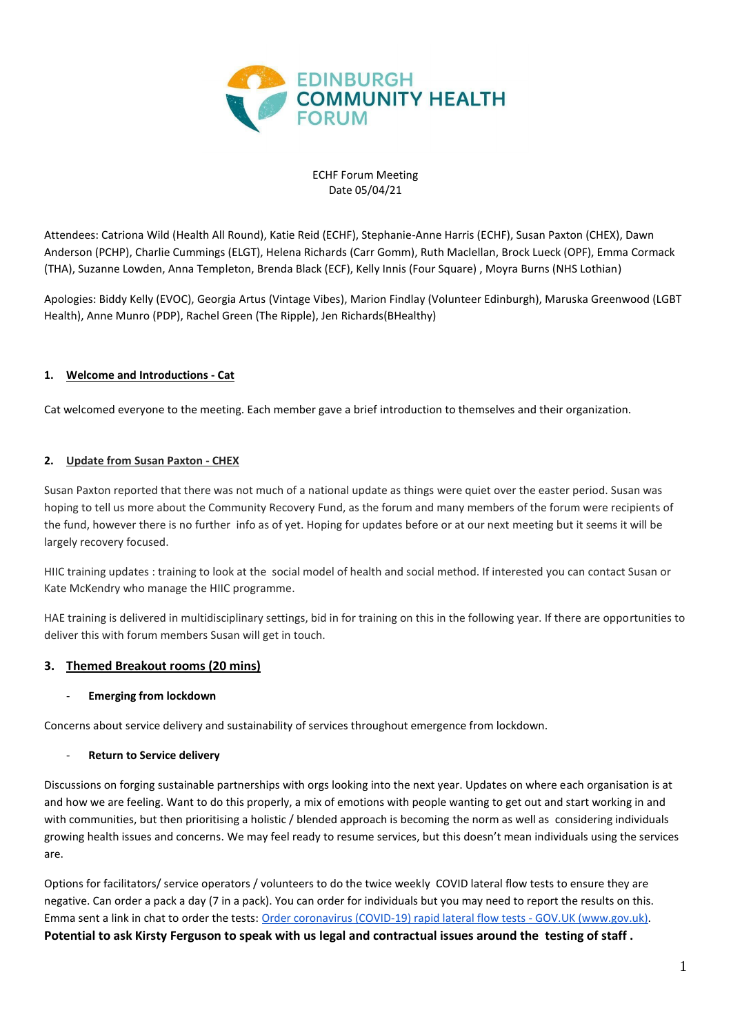

ECHF Forum Meeting Date 05/04/21

Attendees: Catriona Wild (Health All Round), Katie Reid (ECHF), Stephanie-Anne Harris (ECHF), Susan Paxton (CHEX), Dawn Anderson (PCHP), Charlie Cummings (ELGT), Helena Richards (Carr Gomm), Ruth Maclellan, Brock Lueck (OPF), Emma Cormack (THA), Suzanne Lowden, Anna Templeton, Brenda Black (ECF), Kelly Innis (Four Square) , Moyra Burns (NHS Lothian)

Apologies: Biddy Kelly (EVOC), Georgia Artus (Vintage Vibes), Marion Findlay (Volunteer Edinburgh), Maruska Greenwood (LGBT Health), Anne Munro (PDP), Rachel Green (The Ripple), Jen Richards(BHealthy)

# **1. Welcome and Introductions - Cat**

Cat welcomed everyone to the meeting. Each member gave a brief introduction to themselves and their organization.

## **2. Update from Susan Paxton - CHEX**

Susan Paxton reported that there was not much of a national update as things were quiet over the easter period. Susan was hoping to tell us more about the Community Recovery Fund, as the forum and many members of the forum were recipients of the fund, however there is no further info as of yet. Hoping for updates before or at our next meeting but it seems it will be largely recovery focused.

HIIC training updates : training to look at the social model of health and social method. If interested you can contact Susan or Kate McKendry who manage the HIIC programme.

HAE training is delivered in multidisciplinary settings, bid in for training on this in the following year. If there are opportunities to deliver this with forum members Susan will get in touch.

## **3. Themed Breakout rooms (20 mins)**

## - **Emerging from lockdown**

Concerns about service delivery and sustainability of services throughout emergence from lockdown.

## **Return to Service delivery**

Discussions on forging sustainable partnerships with orgs looking into the next year. Updates on where each organisation is at and how we are feeling. Want to do this properly, a mix of emotions with people wanting to get out and start working in and with communities, but then prioritising a holistic / blended approach is becoming the norm as well as considering individuals growing health issues and concerns. We may feel ready to resume services, but this doesn't mean individuals using the services are.

Options for facilitators/ service operators / volunteers to do the twice weekly COVID lateral flow tests to ensure they are negative. Can order a pack a day (7 in a pack). You can order for individuals but you may need to report the results on this. Emma sent a link in chat to order the tests: [Order coronavirus \(COVID-19\) rapid lateral flow tests -](https://www.gov.uk/order-coronavirus-rapid-lateral-flow-tests) GOV.UK [\(www.gov.uk](http://www.gov.uk/)[\).](https://www.gov.uk/order-coronavirus-rapid-lateral-flow-tests) **Potential to ask Kirsty Ferguson to speak with us legal and contractual issues around the testing of staff .**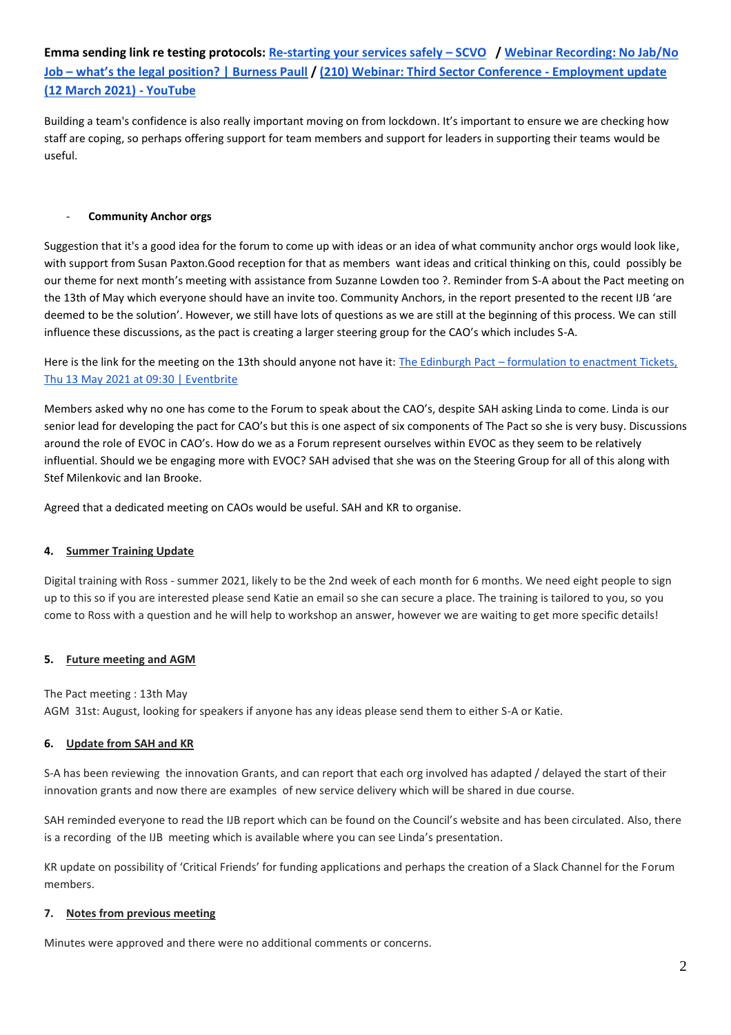# **Emma sending link re testing protocols[: Re-starting your services safely](https://scvo.scot/support/events/a1v3z00000IZHt6AAH/re-starting-your-services-safely?fbclid=IwAR0s_3PtKlTdmluScYs5mCYij6r0bv-vVerhsdI764sN9seDeFdFaLW4IE4) – SCVO [/ Webinar Recording: No Jab/No](https://www.burnesspaull.com/insights-and-events/news/webinar-recording-no-jabno-job-whats-the-legal-position)  Job – [what's the legal position? | Burness Paull](https://www.burnesspaull.com/insights-and-events/news/webinar-recording-no-jabno-job-whats-the-legal-position) / [\(210\) Webinar: Third Sector Conference -](https://www.youtube.com/watch?v=ahNDpvulh1k) Employment update [\(12 March 2021\) -](https://www.youtube.com/watch?v=ahNDpvulh1k) YouTube**

Building a team's confidence is also really important moving on from lockdown. It's important to ensure we are checking how staff are coping, so perhaps offering support for team members and support for leaders in supporting their teams would be useful.

## **Community Anchor orgs**

Suggestion that it's a good idea for the forum to come up with ideas or an idea of what community anchor orgs would look like, with support from Susan Paxton.Good reception for that as members want ideas and critical thinking on this, could possibly be our theme for next month's meeting with assistance from Suzanne Lowden too ?. Reminder from S-A about the Pact meeting on the 13th of May which everyone should have an invite too. Community Anchors, in the report presented to the recent IJB 'are deemed to be the solution'. However, we still have lots of questions as we are still at the beginning of this process. We can still influence these discussions, as the pact is creating a larger steering group for the CAO's which includes S-A.

Here is the link for the meeting on the 13th should anyone not have it: The Edinburgh Pact – [formulation to enactment Tickets,](https://www.eventbrite.co.uk/e/the-edinburgh-pact-formulation-to-enactment-tickets-151635007389)  [Thu 13 May 2021 at 09:30 | Eventbrite](https://www.eventbrite.co.uk/e/the-edinburgh-pact-formulation-to-enactment-tickets-151635007389)

Members asked why no one has come to the Forum to speak about the CAO's, despite SAH asking Linda to come. Linda is our senior lead for developing the pact for CAO's but this is one aspect of six components of The Pact so she is very busy. Discussions around the role of EVOC in CAO's. How do we as a Forum represent ourselves within EVOC as they seem to be relatively influential. Should we be engaging more with EVOC? SAH advised that she was on the Steering Group for all of this along with Stef Milenkovic and Ian Brooke.

Agreed that a dedicated meeting on CAOs would be useful. SAH and KR to organise.

## **4. Summer Training Update**

Digital training with Ross - summer 2021, likely to be the 2nd week of each month for 6 months. We need eight people to sign up to this so if you are interested please send Katie an email so she can secure a place. The training is tailored to you, so you come to Ross with a question and he will help to workshop an answer, however we are waiting to get more specific details!

#### **5. Future meeting and AGM**

The Pact meeting : 13th May

AGM 31st: August, looking for speakers if anyone has any ideas please send them to either S-A or Katie.

#### **6. Update from SAH and KR**

S-A has been reviewing the innovation Grants, and can report that each org involved has adapted / delayed the start of their innovation grants and now there are examples of new service delivery which will be shared in due course.

SAH reminded everyone to read the IJB report which can be found on the Council's website and has been circulated. Also, there is a recording of the IJB meeting which is available where you can see Linda's presentation.

KR update on possibility of 'Critical Friends' for funding applications and perhaps the creation of a Slack Channel for the Forum members.

#### **7. Notes from previous meeting**

Minutes were approved and there were no additional comments or concerns.